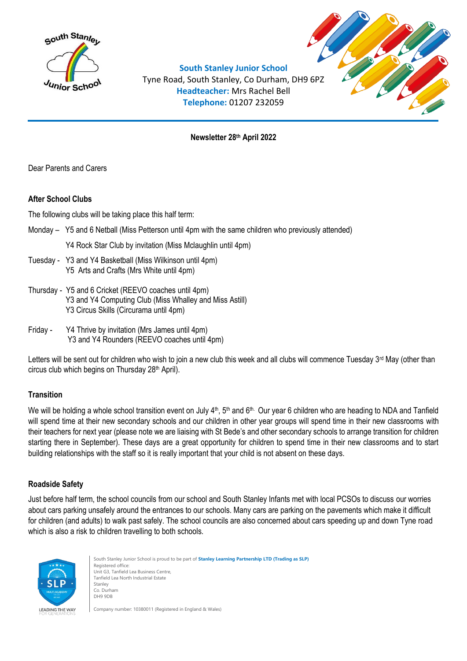



**South Stanley Junior School** Tyne Road, South Stanley, Co Durham, DH9 6PZ **Headteacher:** Mrs Rachel Bell **Telephone:** 01207 232059

**Newsletter 28 th April 2022**

Dear Parents and Carers

# **After School Clubs**

The following clubs will be taking place this half term:

Monday – Y5 and 6 Netball (Miss Petterson until 4pm with the same children who previously attended)

Y4 Rock Star Club by invitation (Miss Mclaughlin until 4pm)

- Tuesday Y3 and Y4 Basketball (Miss Wilkinson until 4pm) Y5 Arts and Crafts (Mrs White until 4pm)
- Thursday Y5 and 6 Cricket (REEVO coaches until 4pm) Y3 and Y4 Computing Club (Miss Whalley and Miss Astill) Y3 Circus Skills (Circurama until 4pm)
- Friday Y4 Thrive by invitation (Mrs James until 4pm) Y3 and Y4 Rounders (REEVO coaches until 4pm)

Letters will be sent out for children who wish to join a new club this week and all clubs will commence Tuesday 3<sup>rd</sup> May (other than circus club which begins on Thursday 28<sup>th</sup> April).

# **Transition**

We will be holding a whole school transition event on July  $4<sup>th</sup>$ , 5<sup>th</sup> and 6<sup>th.</sup> Our year 6 children who are heading to NDA and Tanfield will spend time at their new secondary schools and our children in other year groups will spend time in their new classrooms with their teachers for next year (please note we are liaising with St Bede's and other secondary schools to arrange transition for children starting there in September). These days are a great opportunity for children to spend time in their new classrooms and to start building relationships with the staff so it is really important that your child is not absent on these days.

# **Roadside Safety**

Just before half term, the school councils from our school and South Stanley Infants met with local PCSOs to discuss our worries about cars parking unsafely around the entrances to our schools. Many cars are parking on the pavements which make it difficult for children (and adults) to walk past safely. The school councils are also concerned about cars speeding up and down Tyne road which is also a risk to children travelling to both schools.



South Stanley Junior School is proud to be part of **Stanley Learning Partnership LTD (Trading as SLP)** Registered office: Unit G3, Tanfield Lea Business Centre, Tanfield Lea North Industrial Estate Stanley Co. Durham DH9 9DB

Company number: 10380011 (Registered in England & Wales)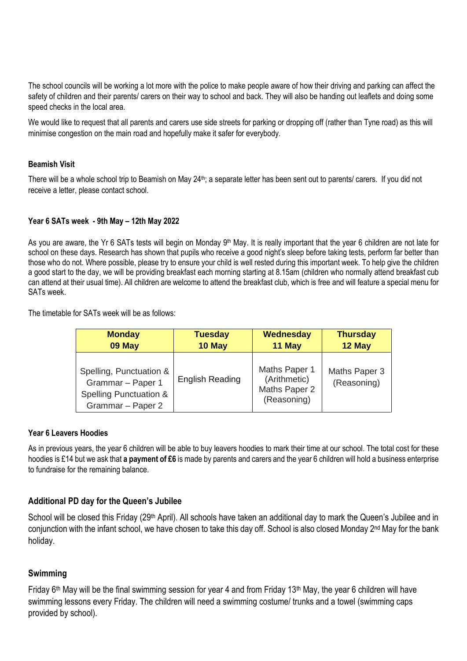The school councils will be working a lot more with the police to make people aware of how their driving and parking can affect the safety of children and their parents/ carers on their way to school and back. They will also be handing out leaflets and doing some speed checks in the local area.

We would like to request that all parents and carers use side streets for parking or dropping off (rather than Tyne road) as this will minimise congestion on the main road and hopefully make it safer for everybody.

### **Beamish Visit**

There will be a whole school trip to Beamish on May 24<sup>th</sup>; a separate letter has been sent out to parents/ carers. If you did not receive a letter, please contact school.

#### **Year 6 SATs week - 9th May – 12th May 2022**

As you are aware, the Yr 6 SATs tests will begin on Monday 9<sup>th</sup> May. It is really important that the year 6 children are not late for school on these days. Research has shown that pupils who receive a good night's sleep before taking tests, perform far better than those who do not. Where possible, please try to ensure your child is well rested during this important week. To help give the children a good start to the day, we will be providing breakfast each morning starting at 8.15am (children who normally attend breakfast cub can attend at their usual time). All children are welcome to attend the breakfast club, which is free and will feature a special menu for SATs week.

The timetable for SATs week will be as follows:

| <b>Monday</b>                                                                                          | <b>Tuesday</b>         | <b>Wednesday</b>                                              | <b>Thursday</b>              |
|--------------------------------------------------------------------------------------------------------|------------------------|---------------------------------------------------------------|------------------------------|
| 09 May                                                                                                 | 10 May                 | 11 May                                                        | 12 May                       |
| Spelling, Punctuation &<br>Grammar - Paper 1<br><b>Spelling Punctuation &amp;</b><br>Grammar - Paper 2 | <b>English Reading</b> | Maths Paper 1<br>(Arithmetic)<br>Maths Paper 2<br>(Reasoning) | Maths Paper 3<br>(Reasoning) |

#### **Year 6 Leavers Hoodies**

As in previous years, the year 6 children will be able to buy leavers hoodies to mark their time at our school. The total cost for these hoodies is £14 but we ask that **a payment of £6** is made by parents and carers and the year 6 children will hold a business enterprise to fundraise for the remaining balance.

## **Additional PD day for the Queen's Jubilee**

School will be closed this Friday (29<sup>th</sup> April). All schools have taken an additional day to mark the Queen's Jubilee and in conjunction with the infant school, we have chosen to take this day off. School is also closed Monday 2<sup>nd</sup> May for the bank holiday.

## **Swimming**

Friday 6<sup>th</sup> May will be the final swimming session for year 4 and from Friday 13<sup>th</sup> May, the year 6 children will have swimming lessons every Friday. The children will need a swimming costume/ trunks and a towel (swimming caps provided by school).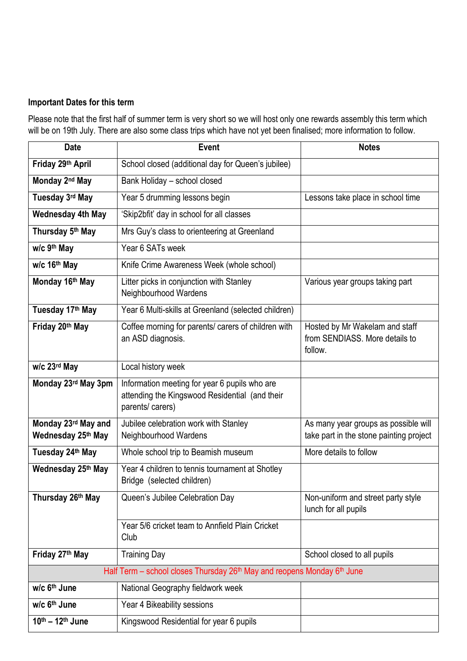# **Important Dates for this term**

Please note that the first half of summer term is very short so we will host only one rewards assembly this term which will be on 19th July. There are also some class trips which have not yet been finalised; more information to follow.

| <b>Date</b>                                                                                     | Event                                                                                                               | <b>Notes</b>                                                                    |  |  |
|-------------------------------------------------------------------------------------------------|---------------------------------------------------------------------------------------------------------------------|---------------------------------------------------------------------------------|--|--|
| Friday 29th April                                                                               | School closed (additional day for Queen's jubilee)                                                                  |                                                                                 |  |  |
| Monday 2nd May                                                                                  | Bank Holiday - school closed                                                                                        |                                                                                 |  |  |
| Tuesday 3rd May                                                                                 | Year 5 drumming lessons begin                                                                                       | Lessons take place in school time                                               |  |  |
| <b>Wednesday 4th May</b>                                                                        | 'Skip2bfit' day in school for all classes                                                                           |                                                                                 |  |  |
| Thursday 5th May                                                                                | Mrs Guy's class to orienteering at Greenland                                                                        |                                                                                 |  |  |
| w/c 9 <sup>th</sup> May                                                                         | Year 6 SATs week                                                                                                    |                                                                                 |  |  |
| w/c 16th May                                                                                    | Knife Crime Awareness Week (whole school)                                                                           |                                                                                 |  |  |
| Monday 16th May                                                                                 | Litter picks in conjunction with Stanley<br>Neighbourhood Wardens                                                   | Various year groups taking part                                                 |  |  |
| Tuesday 17th May                                                                                | Year 6 Multi-skills at Greenland (selected children)                                                                |                                                                                 |  |  |
| Friday 20th May                                                                                 | Coffee morning for parents/ carers of children with<br>an ASD diagnosis.                                            | Hosted by Mr Wakelam and staff<br>from SENDIASS. More details to<br>follow.     |  |  |
| w/c 23rd May                                                                                    | Local history week                                                                                                  |                                                                                 |  |  |
| Monday 23rd May 3pm                                                                             | Information meeting for year 6 pupils who are<br>attending the Kingswood Residential (and their<br>parents/ carers) |                                                                                 |  |  |
| Monday 23rd May and<br>Wednesday 25th May                                                       | Jubilee celebration work with Stanley<br>Neighbourhood Wardens                                                      | As many year groups as possible will<br>take part in the stone painting project |  |  |
| Tuesday 24th May                                                                                | Whole school trip to Beamish museum                                                                                 | More details to follow                                                          |  |  |
| Wednesday 25th May                                                                              | Year 4 children to tennis tournament at Shotley<br>Bridge (selected children)                                       |                                                                                 |  |  |
| Thursday 26th May                                                                               | Queen's Jubilee Celebration Day                                                                                     | Non-uniform and street party style<br>lunch for all pupils                      |  |  |
|                                                                                                 | Year 5/6 cricket team to Annfield Plain Cricket<br>Club                                                             |                                                                                 |  |  |
| Friday 27th May                                                                                 | <b>Training Day</b>                                                                                                 | School closed to all pupils                                                     |  |  |
| Half Term - school closes Thursday 26 <sup>th</sup> May and reopens Monday 6 <sup>th</sup> June |                                                                                                                     |                                                                                 |  |  |
| w/c 6 <sup>th</sup> June                                                                        | National Geography fieldwork week                                                                                   |                                                                                 |  |  |
| w/c 6 <sup>th</sup> June                                                                        | Year 4 Bikeability sessions                                                                                         |                                                                                 |  |  |
| 10th - 12th June                                                                                | Kingswood Residential for year 6 pupils                                                                             |                                                                                 |  |  |